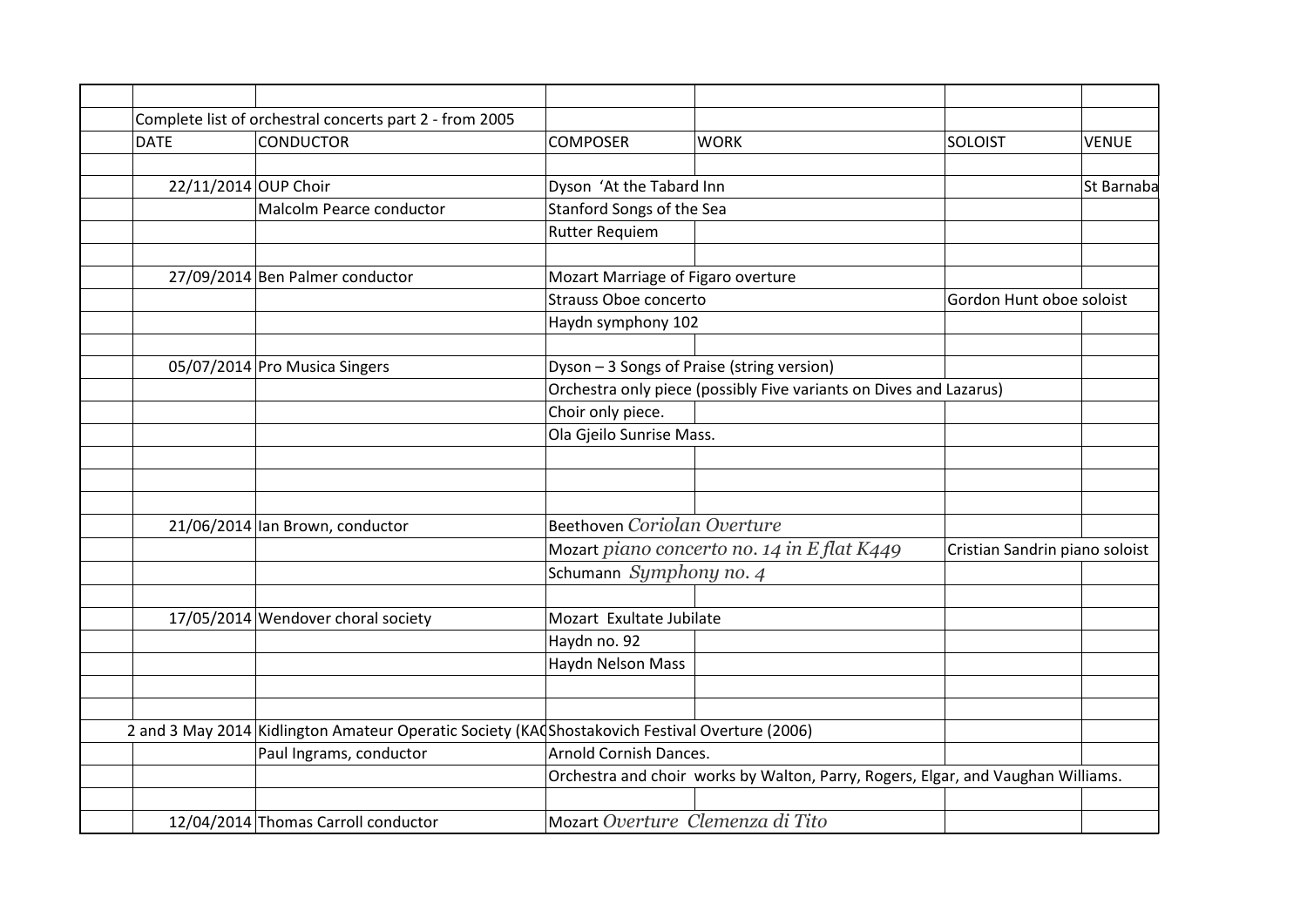|                      | Complete list of orchestral concerts part 2 - from 2005                                        |                                    |                                                                                  |                                |              |
|----------------------|------------------------------------------------------------------------------------------------|------------------------------------|----------------------------------------------------------------------------------|--------------------------------|--------------|
| <b>DATE</b>          | <b>CONDUCTOR</b>                                                                               | <b>COMPOSER</b>                    | <b>WORK</b>                                                                      | <b>SOLOIST</b>                 | <b>VENUE</b> |
|                      |                                                                                                |                                    |                                                                                  |                                |              |
| 22/11/2014 OUP Choir |                                                                                                | Dyson 'At the Tabard Inn           |                                                                                  |                                | St Barnaba   |
|                      | Malcolm Pearce conductor                                                                       | Stanford Songs of the Sea          |                                                                                  |                                |              |
|                      |                                                                                                | <b>Rutter Requiem</b>              |                                                                                  |                                |              |
|                      | 27/09/2014 Ben Palmer conductor                                                                | Mozart Marriage of Figaro overture |                                                                                  |                                |              |
|                      |                                                                                                | Strauss Oboe concerto              |                                                                                  | Gordon Hunt oboe soloist       |              |
|                      |                                                                                                |                                    |                                                                                  |                                |              |
|                      |                                                                                                | Haydn symphony 102                 |                                                                                  |                                |              |
|                      | 05/07/2014 Pro Musica Singers                                                                  |                                    | Dyson - 3 Songs of Praise (string version)                                       |                                |              |
|                      |                                                                                                |                                    | Orchestra only piece (possibly Five variants on Dives and Lazarus)               |                                |              |
|                      |                                                                                                | Choir only piece.                  |                                                                                  |                                |              |
|                      |                                                                                                | Ola Gjeilo Sunrise Mass.           |                                                                                  |                                |              |
|                      |                                                                                                |                                    |                                                                                  |                                |              |
|                      |                                                                                                |                                    |                                                                                  |                                |              |
|                      |                                                                                                |                                    |                                                                                  |                                |              |
|                      | 21/06/2014 lan Brown, conductor                                                                | Beethoven Coriolan Overture        |                                                                                  |                                |              |
|                      |                                                                                                |                                    | Mozart piano concerto no. 14 in E flat K449                                      | Cristian Sandrin piano soloist |              |
|                      |                                                                                                | Schumann Symphony no. 4            |                                                                                  |                                |              |
|                      |                                                                                                |                                    |                                                                                  |                                |              |
|                      | 17/05/2014 Wendover choral society                                                             | Mozart Exultate Jubilate           |                                                                                  |                                |              |
|                      |                                                                                                | Haydn no. 92                       |                                                                                  |                                |              |
|                      |                                                                                                | Haydn Nelson Mass                  |                                                                                  |                                |              |
|                      |                                                                                                |                                    |                                                                                  |                                |              |
|                      | 2 and 3 May 2014 Kidlington Amateur Operatic Society (KACShostakovich Festival Overture (2006) |                                    |                                                                                  |                                |              |
|                      | Paul Ingrams, conductor                                                                        | Arnold Cornish Dances.             |                                                                                  |                                |              |
|                      |                                                                                                |                                    | Orchestra and choir works by Walton, Parry, Rogers, Elgar, and Vaughan Williams. |                                |              |
|                      |                                                                                                |                                    |                                                                                  |                                |              |
|                      | 12/04/2014 Thomas Carroll conductor                                                            | Mozart Overture Clemenza di Tito   |                                                                                  |                                |              |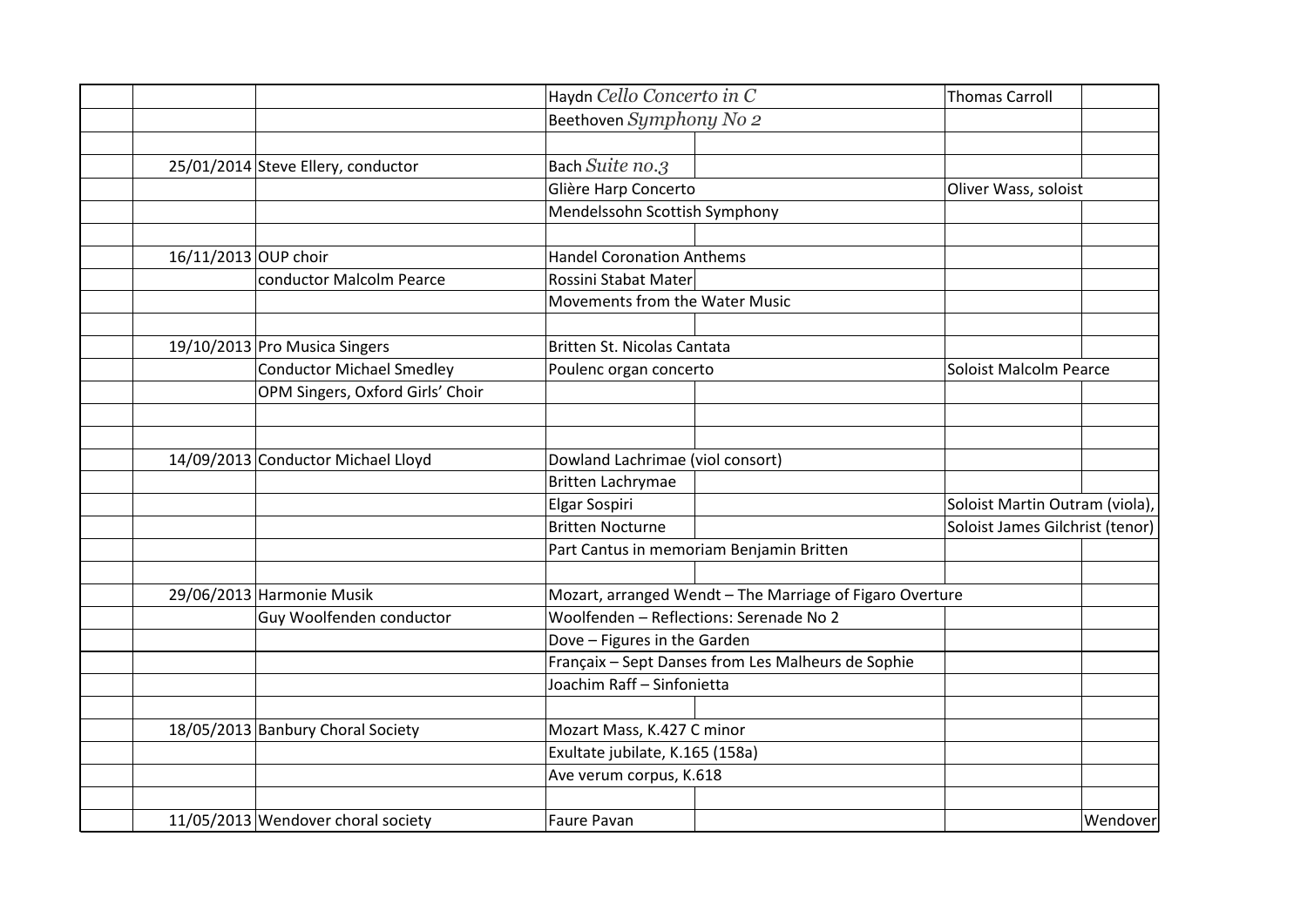|                      |                                    | Haydn Cello Concerto in C                                     |                                                          | Thomas Carroll                  |          |
|----------------------|------------------------------------|---------------------------------------------------------------|----------------------------------------------------------|---------------------------------|----------|
|                      |                                    | Beethoven Symphony No 2                                       |                                                          |                                 |          |
|                      |                                    |                                                               |                                                          |                                 |          |
|                      | 25/01/2014 Steve Ellery, conductor | Bach Suite no.3                                               |                                                          |                                 |          |
|                      |                                    | Glière Harp Concerto                                          |                                                          | Oliver Wass, soloist            |          |
|                      |                                    | Mendelssohn Scottish Symphony                                 |                                                          |                                 |          |
|                      |                                    |                                                               |                                                          |                                 |          |
| 16/11/2013 OUP choir |                                    | <b>Handel Coronation Anthems</b>                              |                                                          |                                 |          |
|                      | conductor Malcolm Pearce           | Rossini Stabat Mater                                          |                                                          |                                 |          |
|                      |                                    | Movements from the Water Music                                |                                                          |                                 |          |
|                      |                                    |                                                               |                                                          |                                 |          |
|                      | 19/10/2013 Pro Musica Singers      | Britten St. Nicolas Cantata                                   |                                                          |                                 |          |
|                      | <b>Conductor Michael Smedley</b>   | Poulenc organ concerto                                        |                                                          | Soloist Malcolm Pearce          |          |
|                      | OPM Singers, Oxford Girls' Choir   |                                                               |                                                          |                                 |          |
|                      |                                    |                                                               |                                                          |                                 |          |
|                      | 14/09/2013 Conductor Michael Lloyd | Dowland Lachrimae (viol consort)                              |                                                          |                                 |          |
|                      |                                    | <b>Britten Lachrymae</b>                                      |                                                          |                                 |          |
|                      |                                    | Elgar Sospiri                                                 |                                                          | Soloist Martin Outram (viola),  |          |
|                      |                                    | <b>Britten Nocturne</b>                                       |                                                          | Soloist James Gilchrist (tenor) |          |
|                      |                                    |                                                               | Part Cantus in memoriam Benjamin Britten                 |                                 |          |
|                      |                                    |                                                               |                                                          |                                 |          |
|                      | 29/06/2013 Harmonie Musik          |                                                               | Mozart, arranged Wendt - The Marriage of Figaro Overture |                                 |          |
|                      | Guy Woolfenden conductor           |                                                               | Woolfenden - Reflections: Serenade No 2                  |                                 |          |
|                      |                                    | Dove - Figures in the Garden                                  |                                                          |                                 |          |
|                      |                                    |                                                               | Françaix - Sept Danses from Les Malheurs de Sophie       |                                 |          |
|                      |                                    | Joachim Raff - Sinfonietta                                    |                                                          |                                 |          |
|                      |                                    |                                                               |                                                          |                                 |          |
|                      | 18/05/2013 Banbury Choral Society  | Mozart Mass, K.427 C minor<br>Exultate jubilate, K.165 (158a) |                                                          |                                 |          |
|                      |                                    | Ave verum corpus, K.618                                       |                                                          |                                 |          |
|                      |                                    |                                                               |                                                          |                                 |          |
|                      | 11/05/2013 Wendover choral society | Faure Pavan                                                   |                                                          |                                 | Wendover |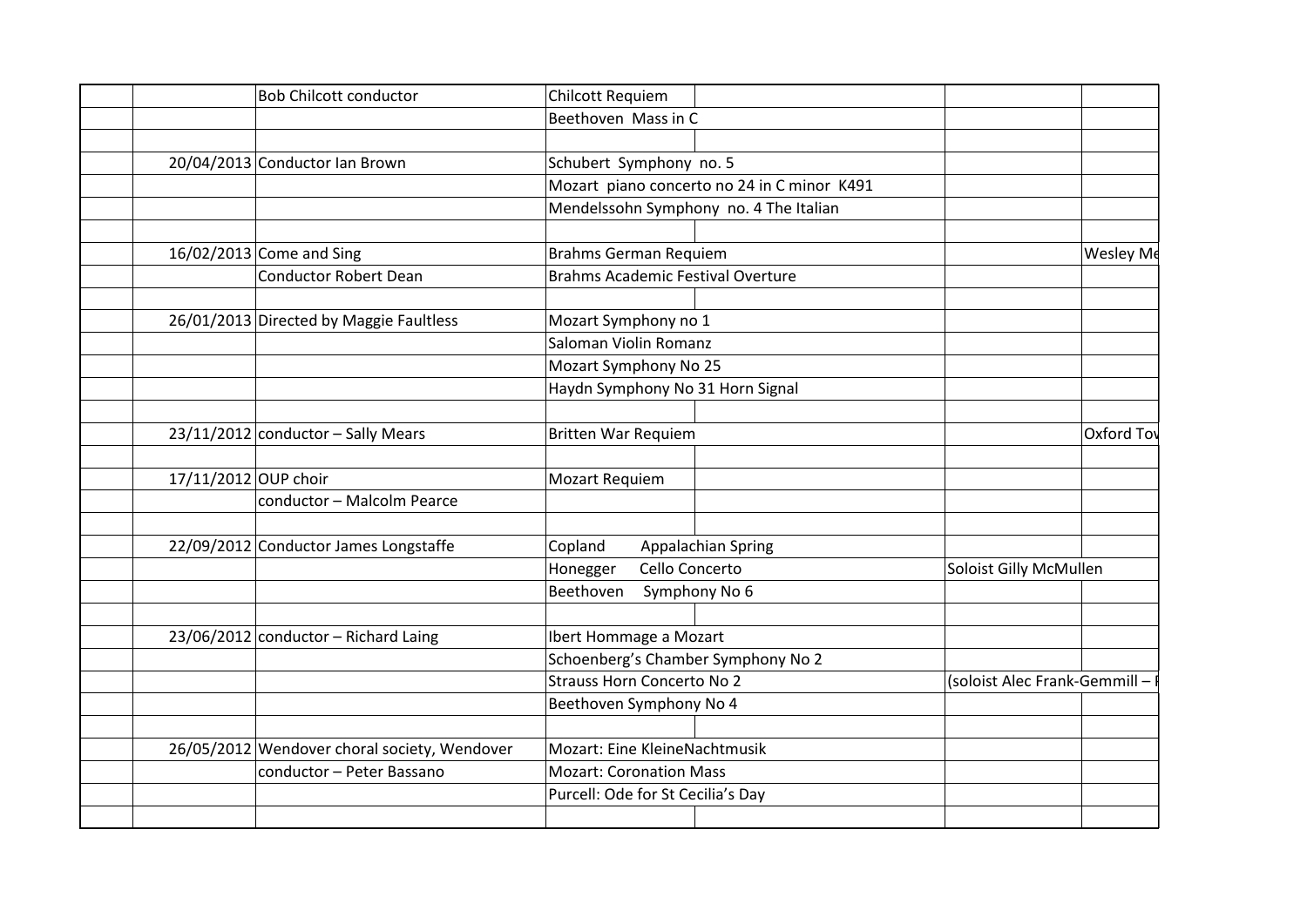| <b>Bob Chilcott conductor</b>                | Chilcott Requiem                            |                               |
|----------------------------------------------|---------------------------------------------|-------------------------------|
|                                              | Beethoven Mass in C                         |                               |
|                                              |                                             |                               |
| 20/04/2013 Conductor Ian Brown               | Schubert Symphony no. 5                     |                               |
|                                              | Mozart piano concerto no 24 in C minor K491 |                               |
|                                              | Mendelssohn Symphony no. 4 The Italian      |                               |
|                                              |                                             |                               |
| $16/02/2013$ Come and Sing                   | Brahms German Requiem                       | Wesley Me                     |
| Conductor Robert Dean                        | Brahms Academic Festival Overture           |                               |
|                                              |                                             |                               |
| 26/01/2013 Directed by Maggie Faultless      | Mozart Symphony no 1                        |                               |
|                                              | Saloman Violin Romanz                       |                               |
|                                              | Mozart Symphony No 25                       |                               |
|                                              | Haydn Symphony No 31 Horn Signal            |                               |
|                                              |                                             |                               |
| $23/11/2012$ conductor - Sally Mears         | <b>Britten War Requiem</b>                  | Oxford Tov                    |
|                                              |                                             |                               |
| 17/11/2012 OUP choir                         | Mozart Requiem                              |                               |
| conductor - Malcolm Pearce                   |                                             |                               |
|                                              |                                             |                               |
| 22/09/2012 Conductor James Longstaffe        | Copland<br>Appalachian Spring               |                               |
|                                              | Cello Concerto<br>Honegger                  | Soloist Gilly McMullen        |
|                                              | Beethoven<br>Symphony No 6                  |                               |
|                                              |                                             |                               |
| $23/06/2012$ conductor – Richard Laing       | Ibert Hommage a Mozart                      |                               |
|                                              | Schoenberg's Chamber Symphony No 2          |                               |
|                                              | <b>Strauss Horn Concerto No 2</b>           | (soloist Alec Frank-Gemmill - |
|                                              | Beethoven Symphony No 4                     |                               |
|                                              |                                             |                               |
| 26/05/2012 Wendover choral society, Wendover | Mozart: Eine KleineNachtmusik               |                               |
| conductor - Peter Bassano                    | <b>Mozart: Coronation Mass</b>              |                               |
|                                              | Purcell: Ode for St Cecilia's Day           |                               |
|                                              |                                             |                               |
|                                              |                                             |                               |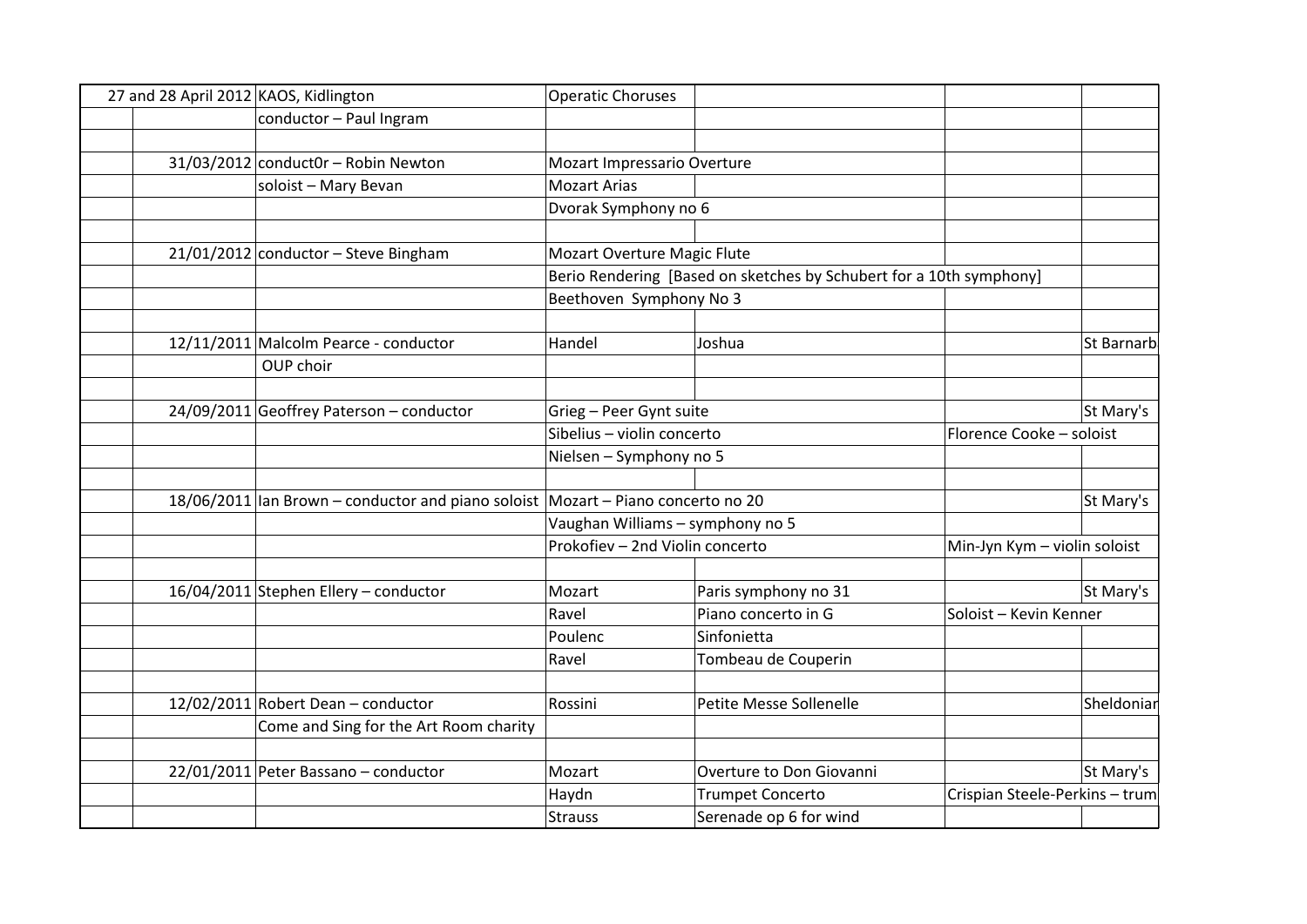| 27 and 28 April 2012 KAOS, Kidlington |                                                                                      | <b>Operatic Choruses</b>         |                                                                     |                                |            |
|---------------------------------------|--------------------------------------------------------------------------------------|----------------------------------|---------------------------------------------------------------------|--------------------------------|------------|
|                                       | conductor - Paul Ingram                                                              |                                  |                                                                     |                                |            |
|                                       |                                                                                      |                                  |                                                                     |                                |            |
|                                       | $31/03/2012$ conduct0r – Robin Newton                                                | Mozart Impressario Overture      |                                                                     |                                |            |
|                                       | soloist - Mary Bevan                                                                 | <b>Mozart Arias</b>              |                                                                     |                                |            |
|                                       |                                                                                      | Dvorak Symphony no 6             |                                                                     |                                |            |
|                                       |                                                                                      |                                  |                                                                     |                                |            |
|                                       | $21/01/2012$ conductor - Steve Bingham                                               | Mozart Overture Magic Flute      |                                                                     |                                |            |
|                                       |                                                                                      |                                  | Berio Rendering [Based on sketches by Schubert for a 10th symphony] |                                |            |
|                                       |                                                                                      | Beethoven Symphony No 3          |                                                                     |                                |            |
|                                       |                                                                                      |                                  |                                                                     |                                |            |
|                                       | 12/11/2011 Malcolm Pearce - conductor                                                | Handel                           | Joshua                                                              |                                | St Barnarb |
|                                       | OUP choir                                                                            |                                  |                                                                     |                                |            |
|                                       |                                                                                      |                                  |                                                                     |                                |            |
|                                       | 24/09/2011 Geoffrey Paterson - conductor                                             | Grieg - Peer Gynt suite          |                                                                     |                                | St Mary's  |
|                                       |                                                                                      | Sibelius - violin concerto       |                                                                     | Florence Cooke - soloist       |            |
|                                       |                                                                                      | Nielsen - Symphony no 5          |                                                                     |                                |            |
|                                       | 18/06/2011   Ian Brown – conductor and piano soloist   Mozart – Piano concerto no 20 |                                  |                                                                     |                                | St Mary's  |
|                                       |                                                                                      | Vaughan Williams - symphony no 5 |                                                                     |                                |            |
|                                       |                                                                                      | Prokofiev - 2nd Violin concerto  |                                                                     | Min-Jyn Kym - violin soloist   |            |
|                                       |                                                                                      |                                  |                                                                     |                                |            |
|                                       | 16/04/2011 Stephen Ellery - conductor                                                | Mozart                           | Paris symphony no 31                                                |                                | St Mary's  |
|                                       |                                                                                      | Ravel                            | Piano concerto in G                                                 | Soloist - Kevin Kenner         |            |
|                                       |                                                                                      | Poulenc                          | Sinfonietta                                                         |                                |            |
|                                       |                                                                                      | Ravel                            | Tombeau de Couperin                                                 |                                |            |
|                                       |                                                                                      |                                  |                                                                     |                                |            |
|                                       | $12/02/2011$ Robert Dean - conductor                                                 | Rossini                          | Petite Messe Sollenelle                                             |                                | Sheldoniar |
|                                       | Come and Sing for the Art Room charity                                               |                                  |                                                                     |                                |            |
|                                       |                                                                                      |                                  |                                                                     |                                |            |
|                                       | 22/01/2011 Peter Bassano - conductor                                                 | Mozart                           | Overture to Don Giovanni                                            |                                | St Mary's  |
|                                       |                                                                                      | Haydn                            | <b>Trumpet Concerto</b>                                             | Crispian Steele-Perkins - trum |            |
|                                       |                                                                                      | <b>Strauss</b>                   | Serenade op 6 for wind                                              |                                |            |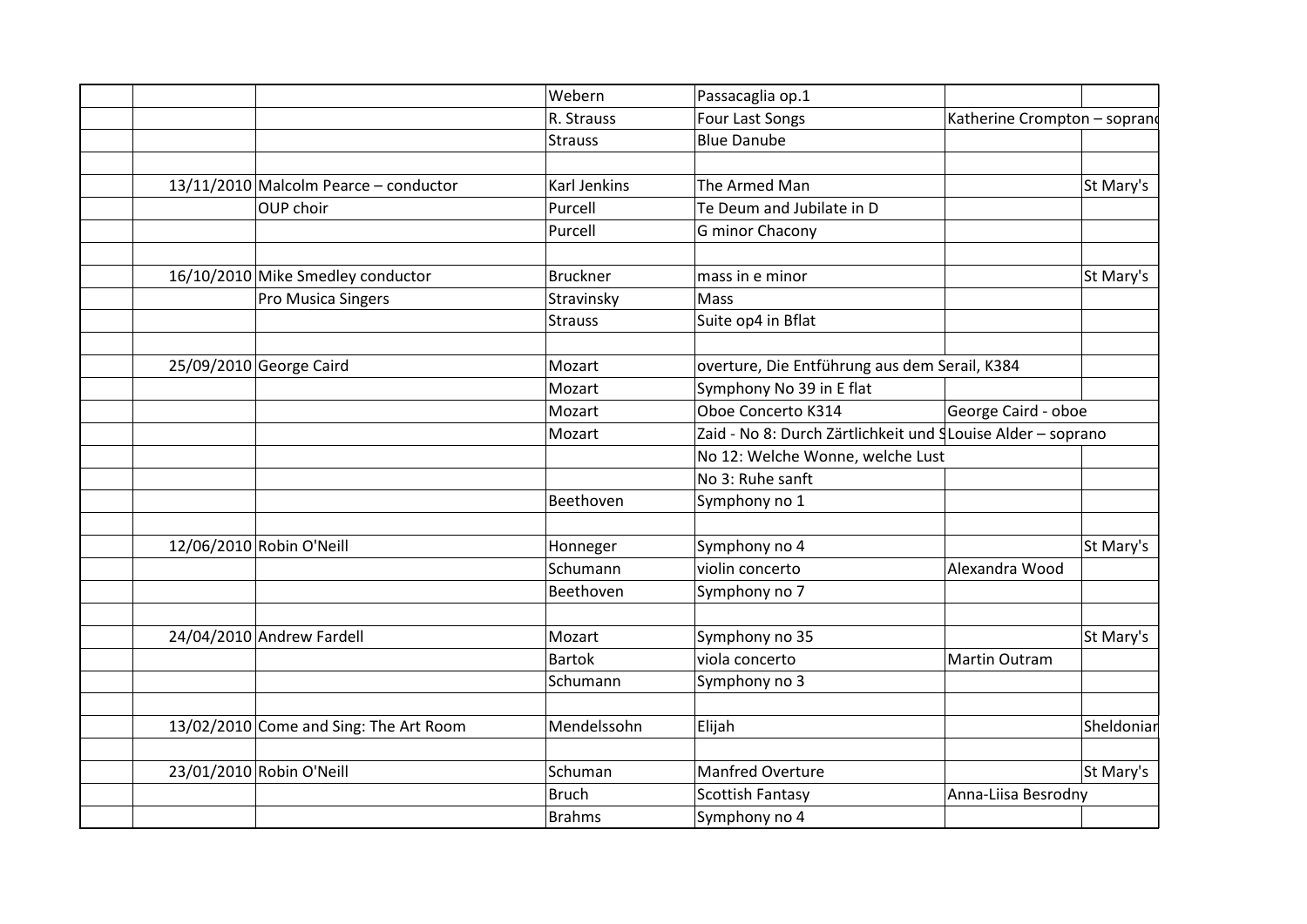|                                        | Webern              | Passacaglia op.1                                            |                              |            |
|----------------------------------------|---------------------|-------------------------------------------------------------|------------------------------|------------|
|                                        | R. Strauss          | Four Last Songs                                             | Katherine Crompton - soprano |            |
|                                        | <b>Strauss</b>      | <b>Blue Danube</b>                                          |                              |            |
|                                        |                     |                                                             |                              |            |
| 13/11/2010 Malcolm Pearce - conductor  | <b>Karl Jenkins</b> | The Armed Man                                               |                              | St Mary's  |
| OUP choir                              | Purcell             | Te Deum and Jubilate in D                                   |                              |            |
|                                        | Purcell             | G minor Chacony                                             |                              |            |
| 16/10/2010 Mike Smedley conductor      | Bruckner            | mass in e minor                                             |                              | St Mary's  |
| Pro Musica Singers                     | Stravinsky          | Mass                                                        |                              |            |
|                                        | <b>Strauss</b>      | Suite op4 in Bflat                                          |                              |            |
| 25/09/2010 George Caird                | Mozart              | overture, Die Entführung aus dem Serail, K384               |                              |            |
|                                        | Mozart              | Symphony No 39 in E flat                                    |                              |            |
|                                        | Mozart              | Oboe Concerto K314                                          | George Caird - oboe          |            |
|                                        | Mozart              | Zaid - No 8: Durch Zärtlichkeit und SLouise Alder - soprano |                              |            |
|                                        |                     | No 12: Welche Wonne, welche Lust                            |                              |            |
|                                        |                     | No 3: Ruhe sanft                                            |                              |            |
|                                        | Beethoven           | Symphony no 1                                               |                              |            |
| 12/06/2010 Robin O'Neill               | Honneger            | Symphony no 4                                               |                              | St Mary's  |
|                                        | Schumann            | violin concerto                                             | Alexandra Wood               |            |
|                                        | Beethoven           | Symphony no 7                                               |                              |            |
| 24/04/2010 Andrew Fardell              | Mozart              | Symphony no 35                                              |                              | St Mary's  |
|                                        | <b>Bartok</b>       | viola concerto                                              | Martin Outram                |            |
|                                        | Schumann            | Symphony no 3                                               |                              |            |
| 13/02/2010 Come and Sing: The Art Room | Mendelssohn         | Elijah                                                      |                              | Sheldoniar |
|                                        |                     |                                                             |                              |            |
| 23/01/2010 Robin O'Neill               | Schuman             | <b>Manfred Overture</b>                                     |                              | St Mary's  |
|                                        | Bruch               | <b>Scottish Fantasy</b>                                     | Anna-Liisa Besrodny          |            |
|                                        | Brahms              | Symphony no 4                                               |                              |            |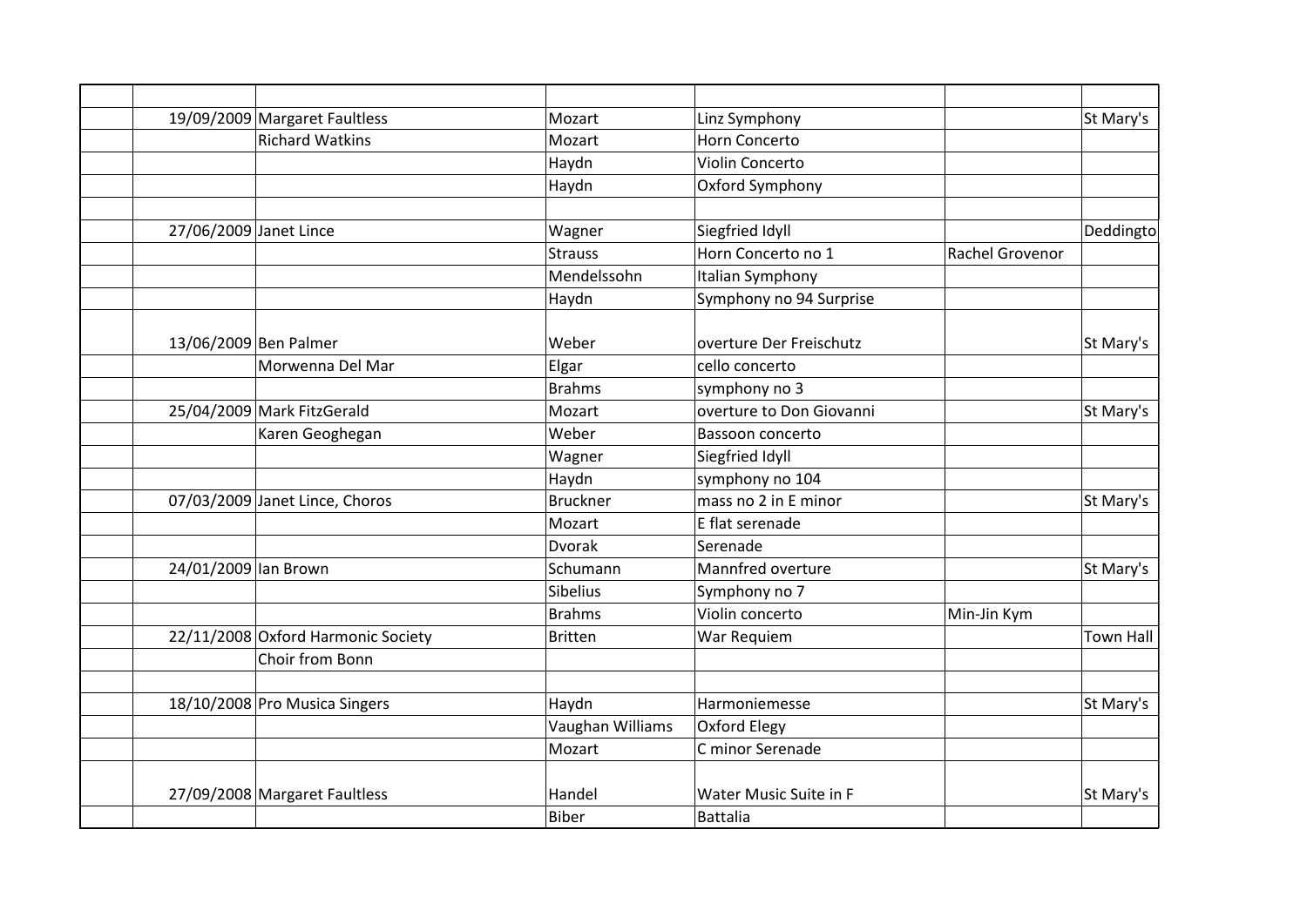|                        | 19/09/2009 Margaret Faultless      | Mozart           | Linz Symphony            |                 | St Mary's        |
|------------------------|------------------------------------|------------------|--------------------------|-----------------|------------------|
|                        | <b>Richard Watkins</b>             | Mozart           | Horn Concerto            |                 |                  |
|                        |                                    | Haydn            | Violin Concerto          |                 |                  |
|                        |                                    | Haydn            | Oxford Symphony          |                 |                  |
|                        |                                    |                  |                          |                 |                  |
| 27/06/2009 Janet Lince |                                    | Wagner           | Siegfried Idyll          |                 | Deddingto        |
|                        |                                    | <b>Strauss</b>   | Horn Concerto no 1       | Rachel Grovenor |                  |
|                        |                                    | Mendelssohn      | Italian Symphony         |                 |                  |
|                        |                                    | Haydn            | Symphony no 94 Surprise  |                 |                  |
| 13/06/2009 Ben Palmer  |                                    | Weber            | overture Der Freischutz  |                 | St Mary's        |
|                        | Morwenna Del Mar                   | Elgar            | cello concerto           |                 |                  |
|                        |                                    | <b>Brahms</b>    | symphony no 3            |                 |                  |
|                        | 25/04/2009 Mark FitzGerald         | Mozart           | overture to Don Giovanni |                 | St Mary's        |
|                        | Karen Geoghegan                    | Weber            | Bassoon concerto         |                 |                  |
|                        |                                    | Wagner           | Siegfried Idyll          |                 |                  |
|                        |                                    | Haydn            | symphony no 104          |                 |                  |
|                        | 07/03/2009 Janet Lince, Choros     | <b>Bruckner</b>  | mass no 2 in E minor     |                 | St Mary's        |
|                        |                                    | Mozart           | E flat serenade          |                 |                  |
|                        |                                    | <b>Dvorak</b>    | Serenade                 |                 |                  |
| 24/01/2009 lan Brown   |                                    | Schumann         | Mannfred overture        |                 | St Mary's        |
|                        |                                    | Sibelius         | Symphony no 7            |                 |                  |
|                        |                                    | <b>Brahms</b>    | Violin concerto          | Min-Jin Kym     |                  |
|                        | 22/11/2008 Oxford Harmonic Society | <b>Britten</b>   | War Requiem              |                 | <b>Town Hall</b> |
|                        | Choir from Bonn                    |                  |                          |                 |                  |
|                        | 18/10/2008 Pro Musica Singers      | Haydn            | Harmoniemesse            |                 | St Mary's        |
|                        |                                    | Vaughan Williams | Oxford Elegy             |                 |                  |
|                        |                                    | Mozart           | C minor Serenade         |                 |                  |
|                        |                                    |                  |                          |                 |                  |
|                        | 27/09/2008 Margaret Faultless      | Handel           | Water Music Suite in F   |                 | St Mary's        |
|                        |                                    | <b>Biber</b>     | <b>Battalia</b>          |                 |                  |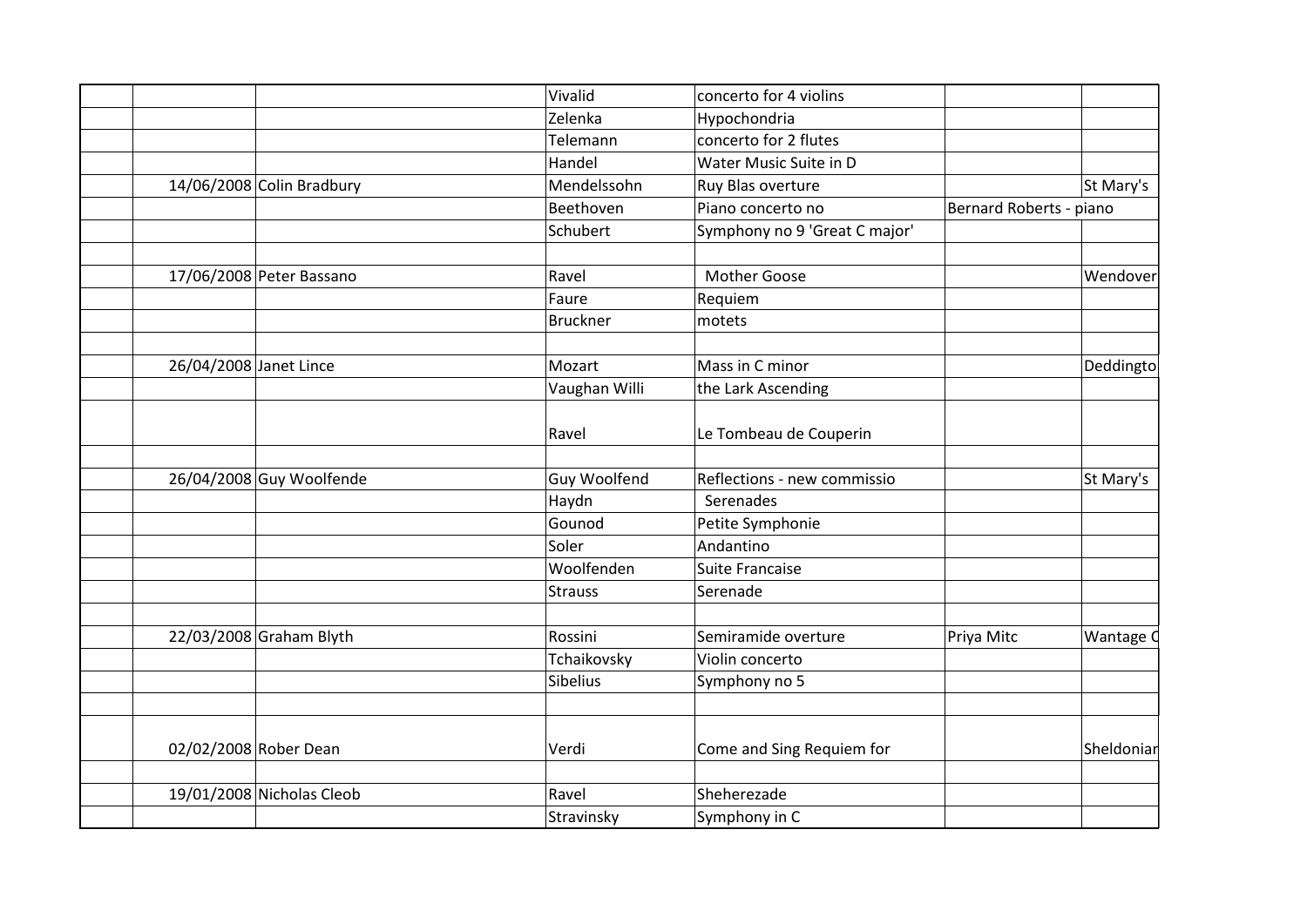| Vivalid         | concerto for 4 violins                                                               |                                                                                                                                     |                                       |
|-----------------|--------------------------------------------------------------------------------------|-------------------------------------------------------------------------------------------------------------------------------------|---------------------------------------|
| Zelenka         | Hypochondria                                                                         |                                                                                                                                     |                                       |
| Telemann        | concerto for 2 flutes                                                                |                                                                                                                                     |                                       |
| Handel          | Water Music Suite in D                                                               |                                                                                                                                     |                                       |
| Mendelssohn     | Ruy Blas overture                                                                    |                                                                                                                                     | St Mary's                             |
| Beethoven       | Piano concerto no                                                                    |                                                                                                                                     |                                       |
| Schubert        | Symphony no 9 'Great C major'                                                        |                                                                                                                                     |                                       |
| Ravel           | <b>Mother Goose</b>                                                                  |                                                                                                                                     | Wendover                              |
| Faure           |                                                                                      |                                                                                                                                     |                                       |
| <b>Bruckner</b> | motets                                                                               |                                                                                                                                     |                                       |
|                 |                                                                                      |                                                                                                                                     | Deddingto                             |
|                 |                                                                                      |                                                                                                                                     |                                       |
|                 |                                                                                      |                                                                                                                                     |                                       |
| Ravel           | Le Tombeau de Couperin                                                               |                                                                                                                                     |                                       |
|                 |                                                                                      |                                                                                                                                     | St Mary's                             |
|                 |                                                                                      |                                                                                                                                     |                                       |
|                 |                                                                                      |                                                                                                                                     |                                       |
| Soler           | Andantino                                                                            |                                                                                                                                     |                                       |
| Woolfenden      | Suite Francaise                                                                      |                                                                                                                                     |                                       |
| <b>Strauss</b>  | Serenade                                                                             |                                                                                                                                     |                                       |
|                 | Semiramide overture                                                                  |                                                                                                                                     | Wantage C                             |
|                 |                                                                                      |                                                                                                                                     |                                       |
| Sibelius        | Symphony no 5                                                                        |                                                                                                                                     |                                       |
|                 |                                                                                      |                                                                                                                                     |                                       |
| Verdi           | Come and Sing Requiem for                                                            |                                                                                                                                     | Sheldoniar                            |
|                 |                                                                                      |                                                                                                                                     |                                       |
| Ravel           | Sheherezade                                                                          |                                                                                                                                     |                                       |
|                 | Mozart<br>Vaughan Willi<br>Guy Woolfend<br>Haydn<br>Gounod<br>Rossini<br>Tchaikovsky | Requiem<br>Mass in C minor<br>the Lark Ascending<br>Reflections - new commissio<br>Serenades<br>Petite Symphonie<br>Violin concerto | Bernard Roberts - piano<br>Priya Mitc |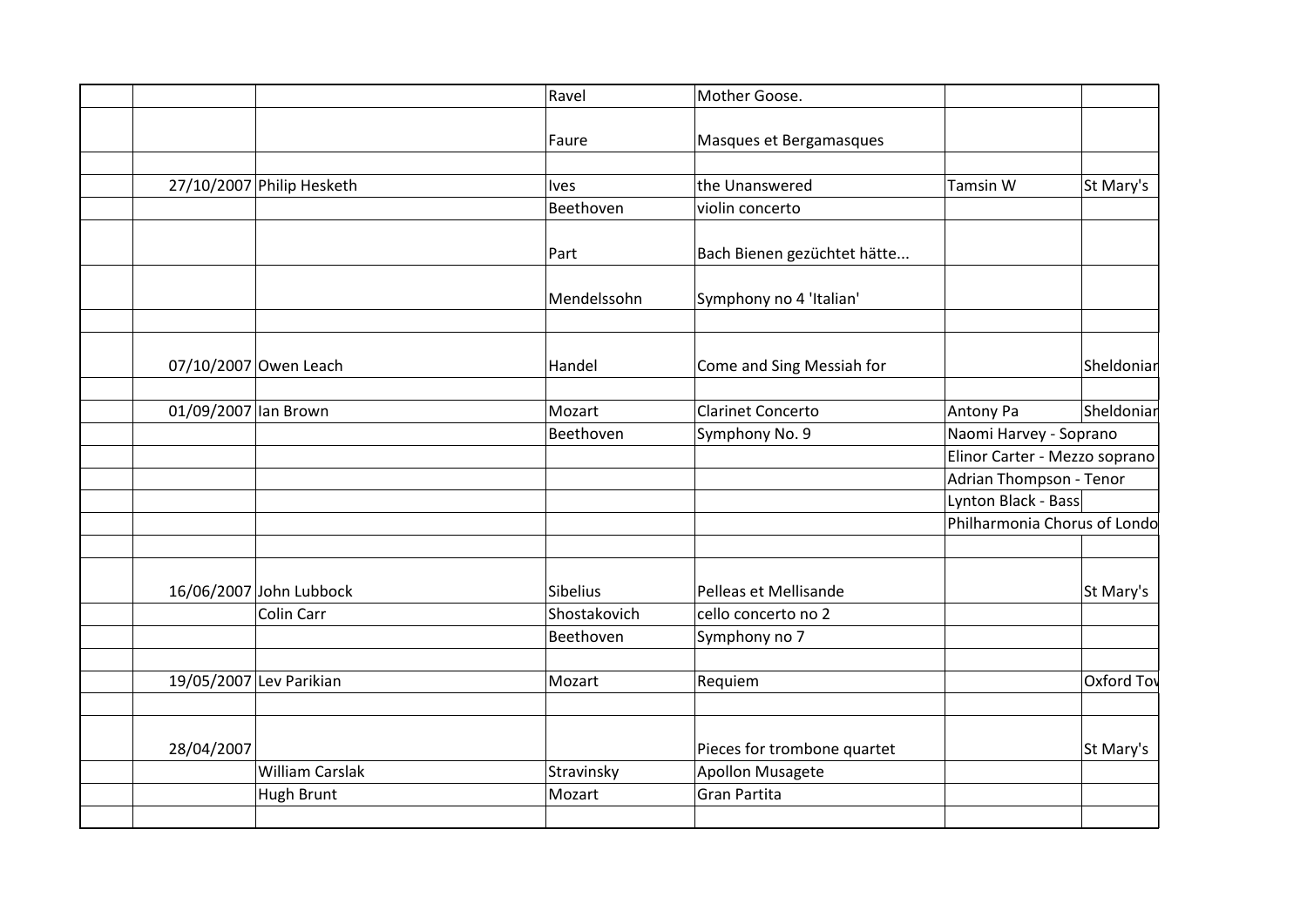|                           | Ravel        | Mother Goose.               |                               |            |
|---------------------------|--------------|-----------------------------|-------------------------------|------------|
|                           | Faure        | Masques et Bergamasques     |                               |            |
|                           |              |                             |                               |            |
| 27/10/2007 Philip Hesketh | <b>Ives</b>  | the Unanswered              | <b>Tamsin W</b>               | St Mary's  |
|                           | Beethoven    | violin concerto             |                               |            |
|                           |              |                             |                               |            |
|                           | Part         | Bach Bienen gezüchtet hätte |                               |            |
|                           | Mendelssohn  | Symphony no 4 'Italian'     |                               |            |
|                           |              |                             |                               |            |
| 07/10/2007 Owen Leach     | Handel       | Come and Sing Messiah for   |                               | Sheldoniar |
|                           |              |                             |                               |            |
| 01/09/2007 lan Brown      | Mozart       | <b>Clarinet Concerto</b>    | Antony Pa                     | Sheldoniar |
|                           | Beethoven    | Symphony No. 9              | Naomi Harvey - Soprano        |            |
|                           |              |                             | Elinor Carter - Mezzo soprano |            |
|                           |              |                             | Adrian Thompson - Tenor       |            |
|                           |              |                             | Lynton Black - Bass           |            |
|                           |              |                             | Philharmonia Chorus of Londo  |            |
|                           |              |                             |                               |            |
| 16/06/2007 John Lubbock   | Sibelius     | Pelleas et Mellisande       |                               | St Mary's  |
| Colin Carr                | Shostakovich | cello concerto no 2         |                               |            |
|                           | Beethoven    | Symphony no 7               |                               |            |
| 19/05/2007 Lev Parikian   | Mozart       |                             |                               | Oxford Tov |
|                           |              | Requiem                     |                               |            |
| 28/04/2007                |              | Pieces for trombone quartet |                               | St Mary's  |
| <b>William Carslak</b>    | Stravinsky   | Apollon Musagete            |                               |            |
| Hugh Brunt                | Mozart       | Gran Partita                |                               |            |
|                           |              |                             |                               |            |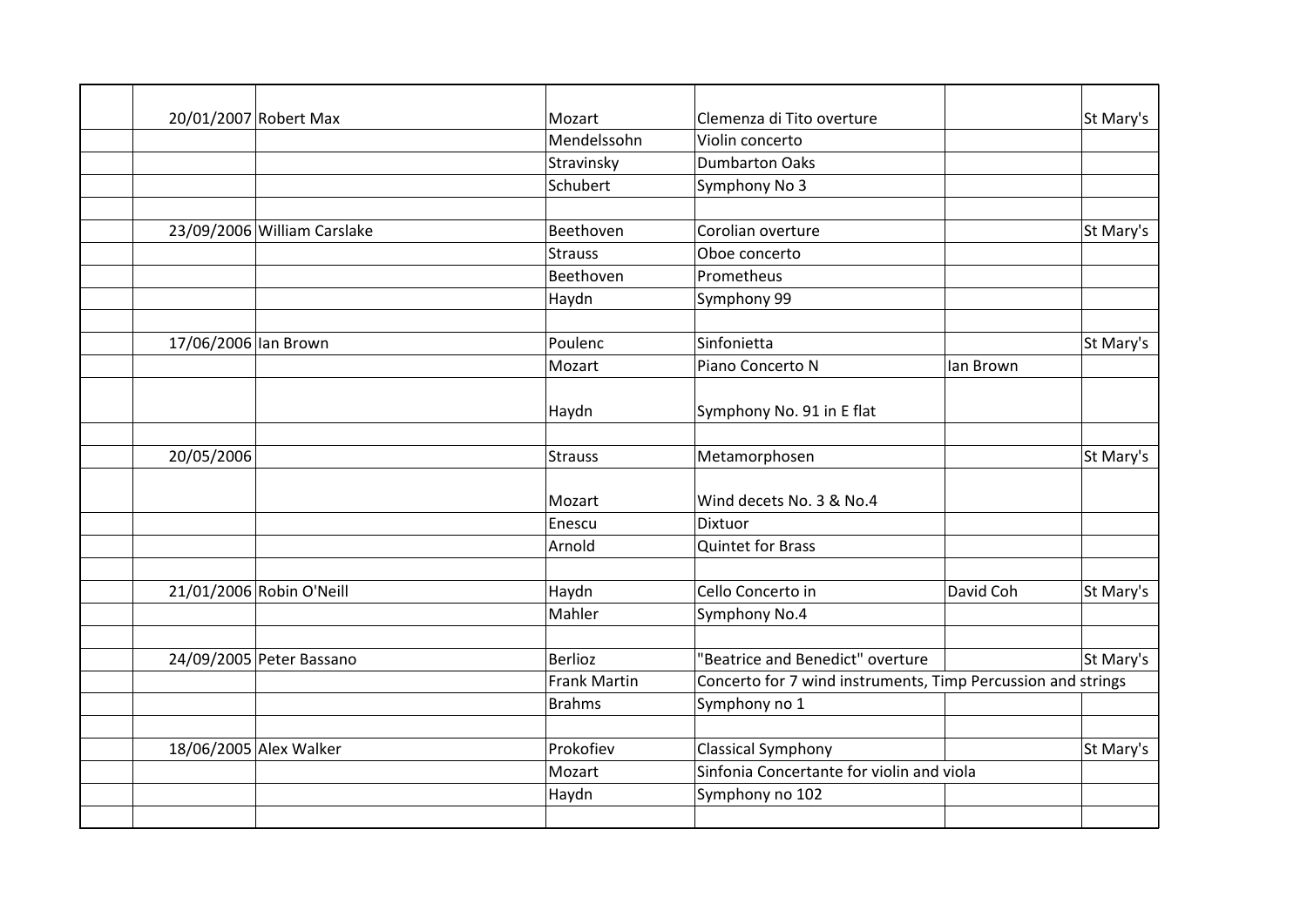|                      | 20/01/2007 Robert Max       | Mozart              | Clemenza di Tito overture                                    |           | St Mary's |
|----------------------|-----------------------------|---------------------|--------------------------------------------------------------|-----------|-----------|
|                      |                             | Mendelssohn         | Violin concerto                                              |           |           |
|                      |                             | Stravinsky          | <b>Dumbarton Oaks</b>                                        |           |           |
|                      |                             | Schubert            | Symphony No 3                                                |           |           |
|                      |                             |                     |                                                              |           |           |
|                      | 23/09/2006 William Carslake | Beethoven           | Corolian overture                                            |           | St Mary's |
|                      |                             | <b>Strauss</b>      | Oboe concerto                                                |           |           |
|                      |                             | Beethoven           | Prometheus                                                   |           |           |
|                      |                             | Haydn               | Symphony 99                                                  |           |           |
|                      |                             |                     |                                                              |           |           |
| 17/06/2006 lan Brown |                             | Poulenc             | Sinfonietta                                                  |           | St Mary's |
|                      |                             | Mozart              | Piano Concerto N                                             | lan Brown |           |
|                      |                             |                     |                                                              |           |           |
|                      |                             | Haydn               | Symphony No. 91 in E flat                                    |           |           |
|                      |                             |                     |                                                              |           |           |
| 20/05/2006           |                             | Strauss             | Metamorphosen                                                |           | St Mary's |
|                      |                             |                     |                                                              |           |           |
|                      |                             | Mozart              | Wind decets No. 3 & No.4                                     |           |           |
|                      |                             | Enescu              | Dixtuor                                                      |           |           |
|                      |                             | Arnold              | <b>Quintet for Brass</b>                                     |           |           |
|                      |                             |                     |                                                              |           |           |
|                      | 21/01/2006 Robin O'Neill    | Haydn               | Cello Concerto in                                            | David Coh | St Mary's |
|                      |                             | Mahler              | Symphony No.4                                                |           |           |
|                      |                             |                     |                                                              |           |           |
|                      | 24/09/2005 Peter Bassano    | <b>Berlioz</b>      | "Beatrice and Benedict" overture                             |           | St Mary's |
|                      |                             | <b>Frank Martin</b> | Concerto for 7 wind instruments, Timp Percussion and strings |           |           |
|                      |                             | <b>Brahms</b>       | Symphony no 1                                                |           |           |
|                      |                             |                     |                                                              |           |           |
|                      | 18/06/2005 Alex Walker      | Prokofiev           | <b>Classical Symphony</b>                                    |           | St Mary's |
|                      |                             | Mozart              | Sinfonia Concertante for violin and viola                    |           |           |
|                      |                             | Haydn               | Symphony no 102                                              |           |           |
|                      |                             |                     |                                                              |           |           |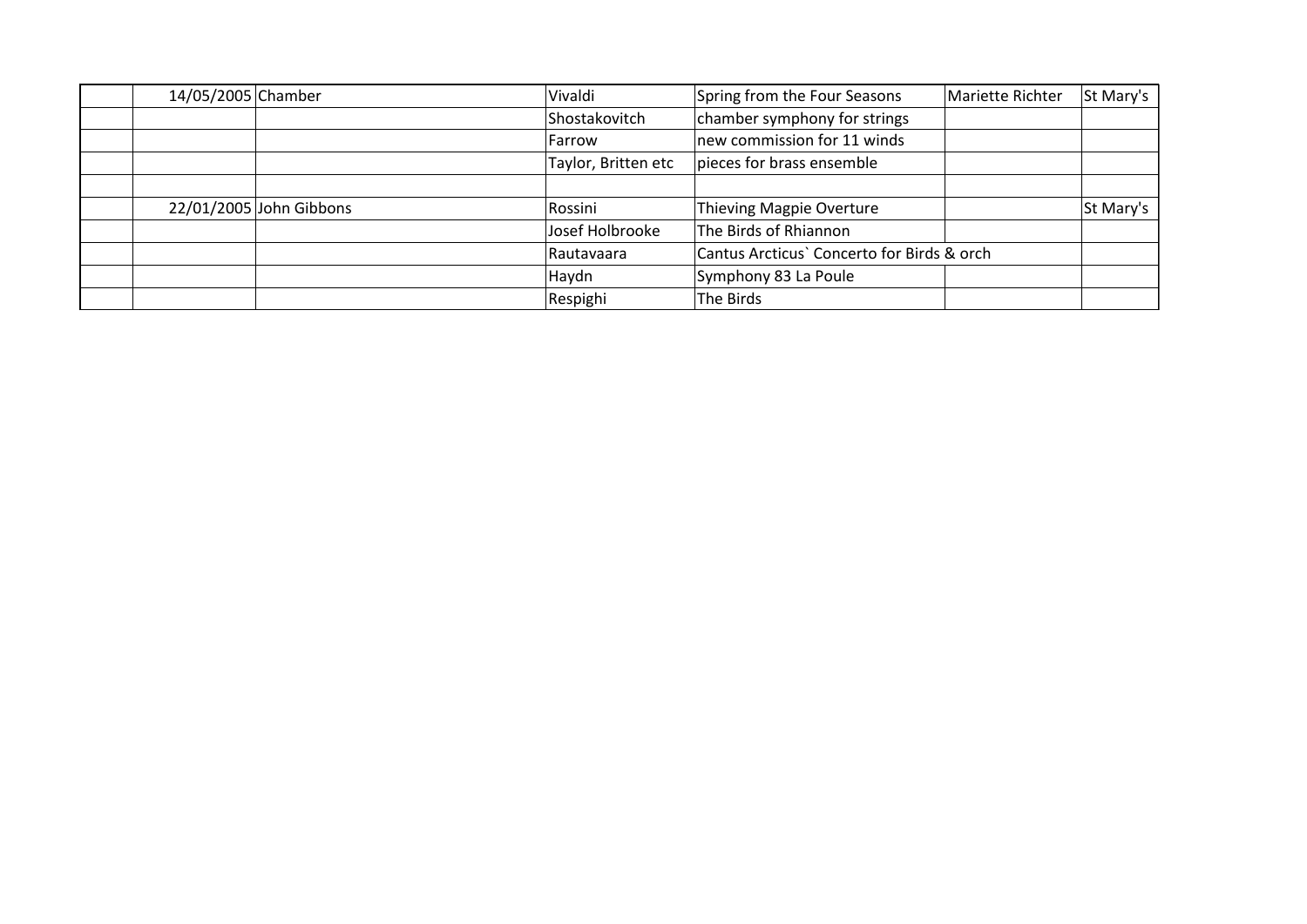| 14/05/2005 Chamber |                         | Vivaldi             | Spring from the Four Seasons<br>Mariette Richter | St Mary's |
|--------------------|-------------------------|---------------------|--------------------------------------------------|-----------|
|                    |                         | Shostakovitch       | chamber symphony for strings                     |           |
|                    |                         | lFarrow             | new commission for 11 winds                      |           |
|                    |                         | Taylor, Britten etc | pieces for brass ensemble                        |           |
|                    |                         |                     |                                                  |           |
|                    | 22/01/2005 John Gibbons | Rossini             | Thieving Magpie Overture                         | St Mary's |
|                    |                         | Josef Holbrooke     | The Birds of Rhiannon                            |           |
|                    |                         | l Rautavaara        | Cantus Arcticus' Concerto for Birds & orch       |           |
|                    |                         | Haydn               | Symphony 83 La Poule                             |           |
|                    |                         | Respighi            | The Birds                                        |           |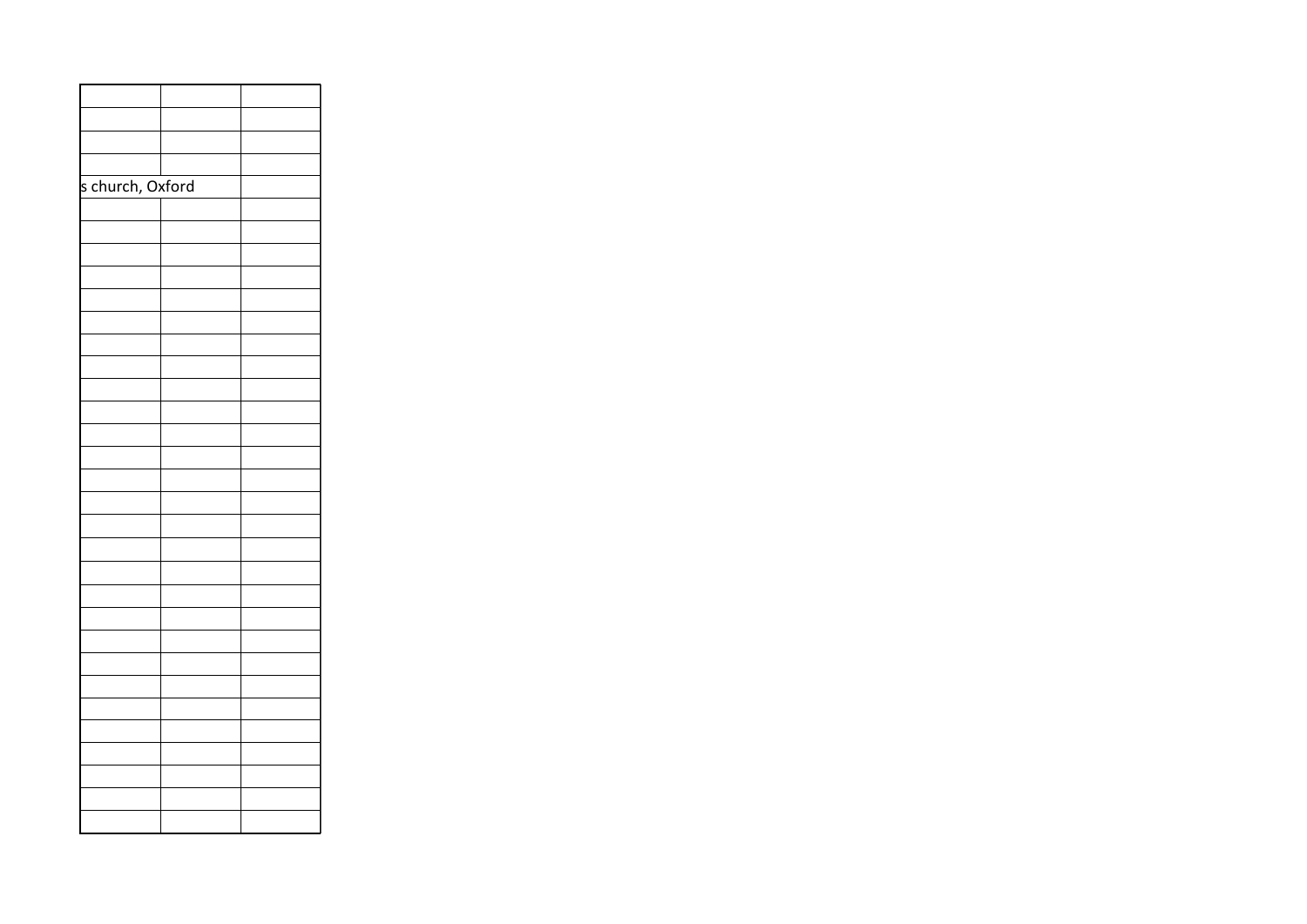| s church, Oxford |  |
|------------------|--|
|                  |  |
|                  |  |
|                  |  |
|                  |  |
|                  |  |
|                  |  |
|                  |  |
|                  |  |
|                  |  |
|                  |  |
|                  |  |
|                  |  |
|                  |  |
|                  |  |
|                  |  |
|                  |  |
|                  |  |
|                  |  |
|                  |  |
|                  |  |
|                  |  |
|                  |  |
|                  |  |
|                  |  |
|                  |  |
|                  |  |
|                  |  |
|                  |  |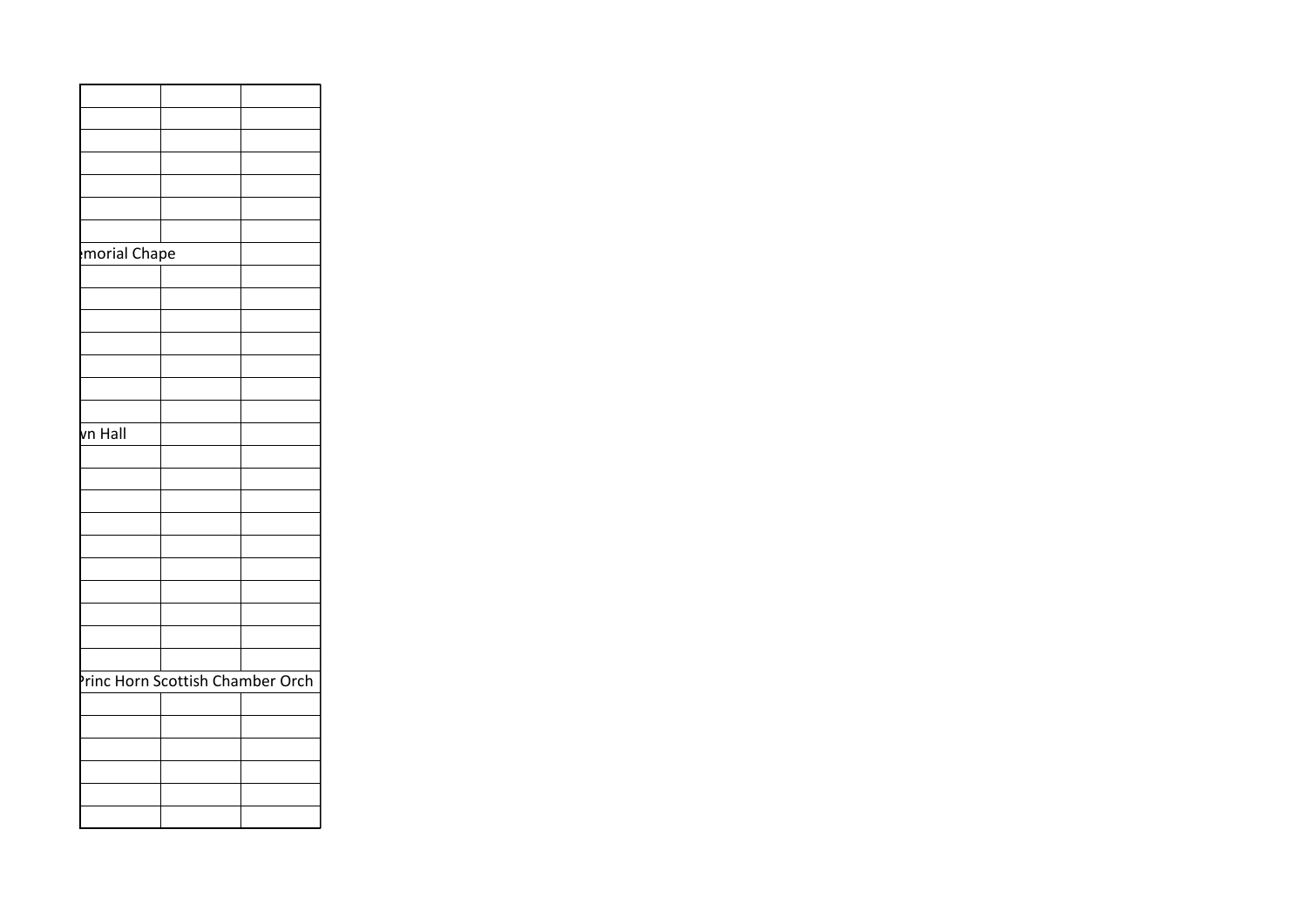| morial Chape                     |  |
|----------------------------------|--|
|                                  |  |
|                                  |  |
|                                  |  |
|                                  |  |
|                                  |  |
|                                  |  |
|                                  |  |
| vn Hall                          |  |
|                                  |  |
|                                  |  |
|                                  |  |
|                                  |  |
|                                  |  |
|                                  |  |
|                                  |  |
|                                  |  |
|                                  |  |
|                                  |  |
| Princ Horn Scottish Chamber Orch |  |
|                                  |  |
|                                  |  |
|                                  |  |
|                                  |  |
|                                  |  |
|                                  |  |
|                                  |  |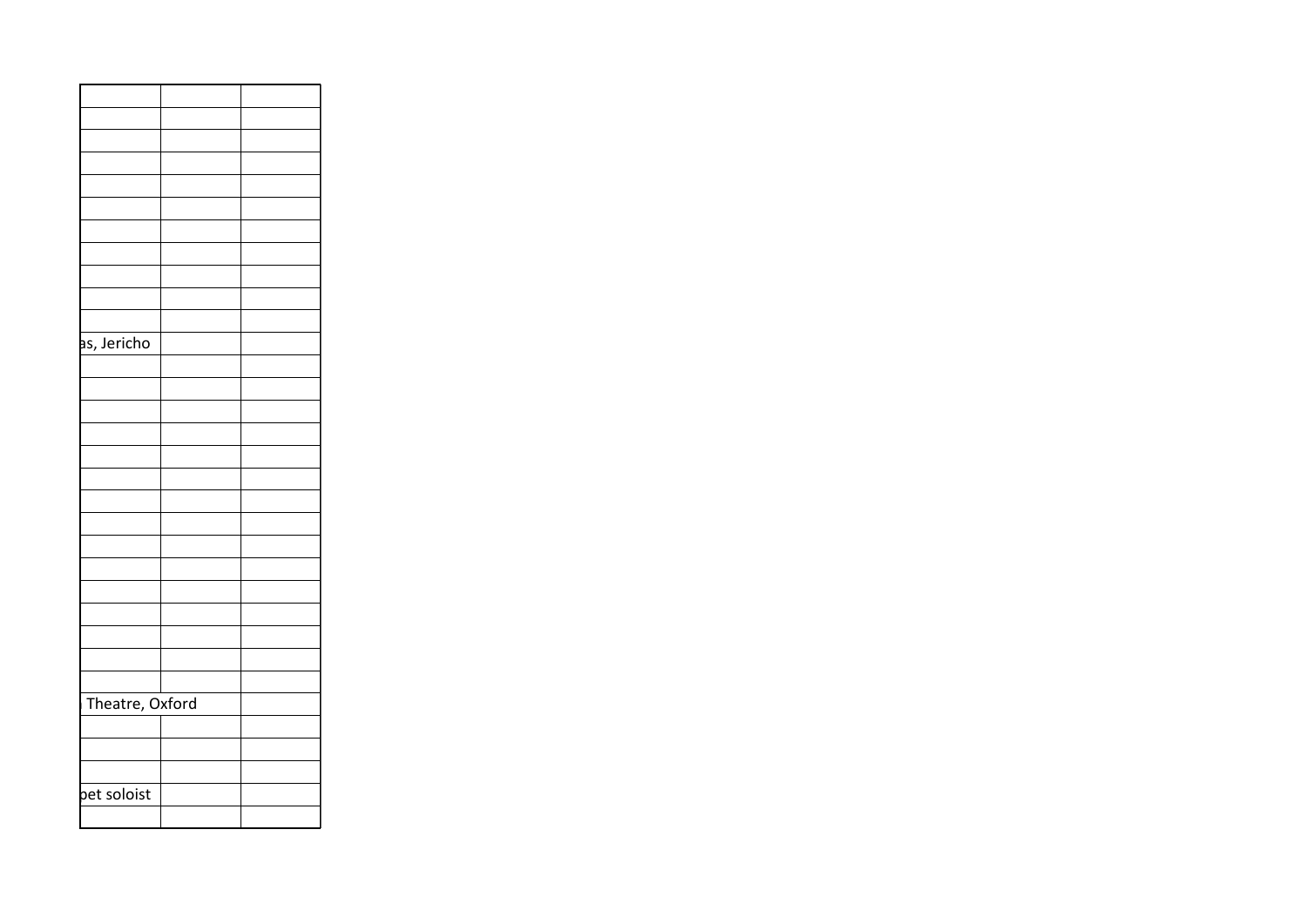| as, Jericho     |  |
|-----------------|--|
|                 |  |
|                 |  |
|                 |  |
|                 |  |
|                 |  |
|                 |  |
|                 |  |
|                 |  |
|                 |  |
|                 |  |
|                 |  |
|                 |  |
|                 |  |
|                 |  |
|                 |  |
| Theatre, Oxford |  |
|                 |  |
|                 |  |
|                 |  |
| pet soloist     |  |
|                 |  |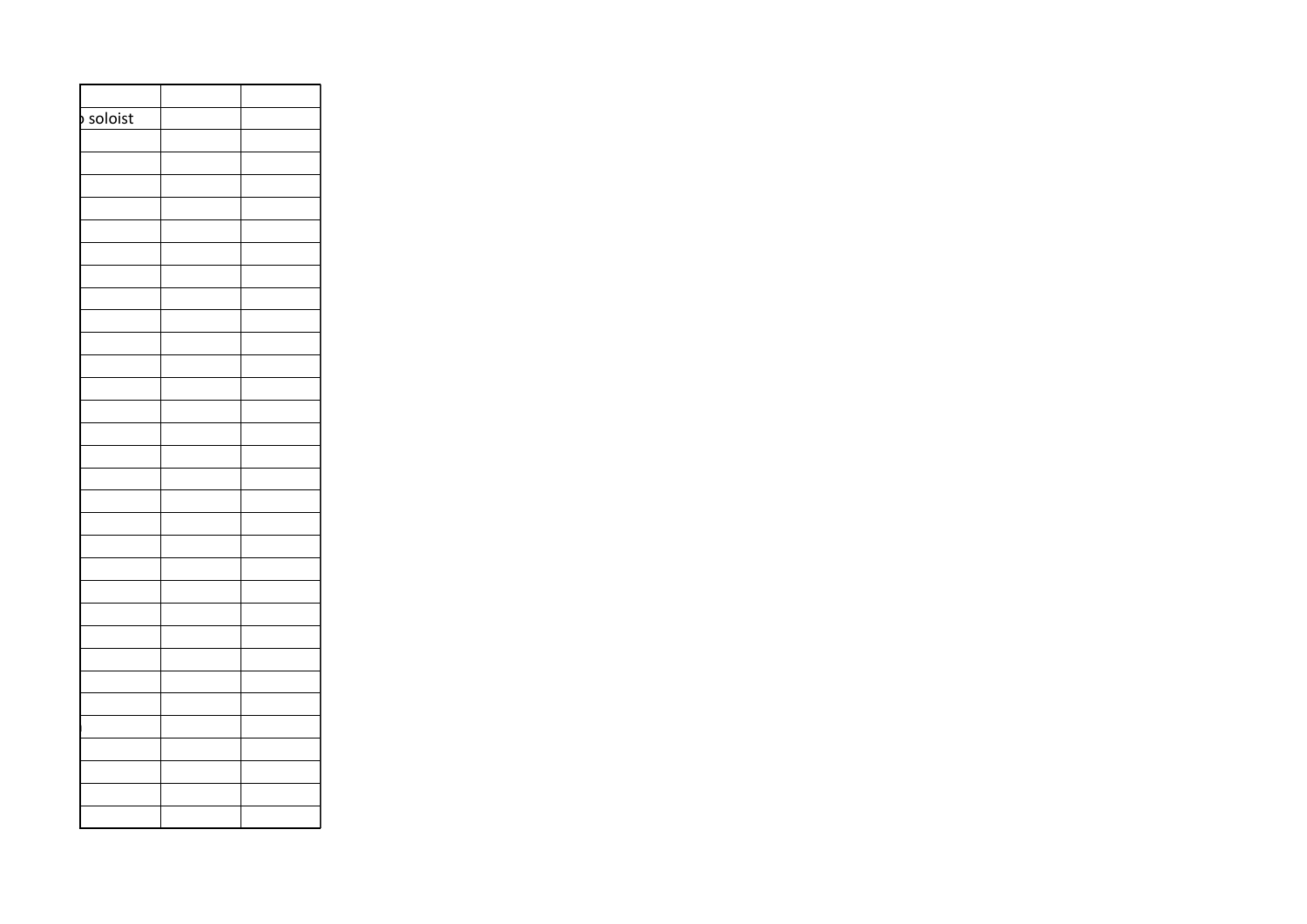| soloist |  |
|---------|--|
|         |  |
|         |  |
|         |  |
|         |  |
|         |  |
|         |  |
|         |  |
|         |  |
|         |  |
|         |  |
|         |  |
|         |  |
|         |  |
|         |  |
|         |  |
|         |  |
|         |  |
|         |  |
|         |  |
|         |  |
|         |  |
|         |  |
|         |  |
|         |  |
|         |  |
|         |  |
|         |  |
|         |  |
|         |  |
|         |  |
|         |  |
|         |  |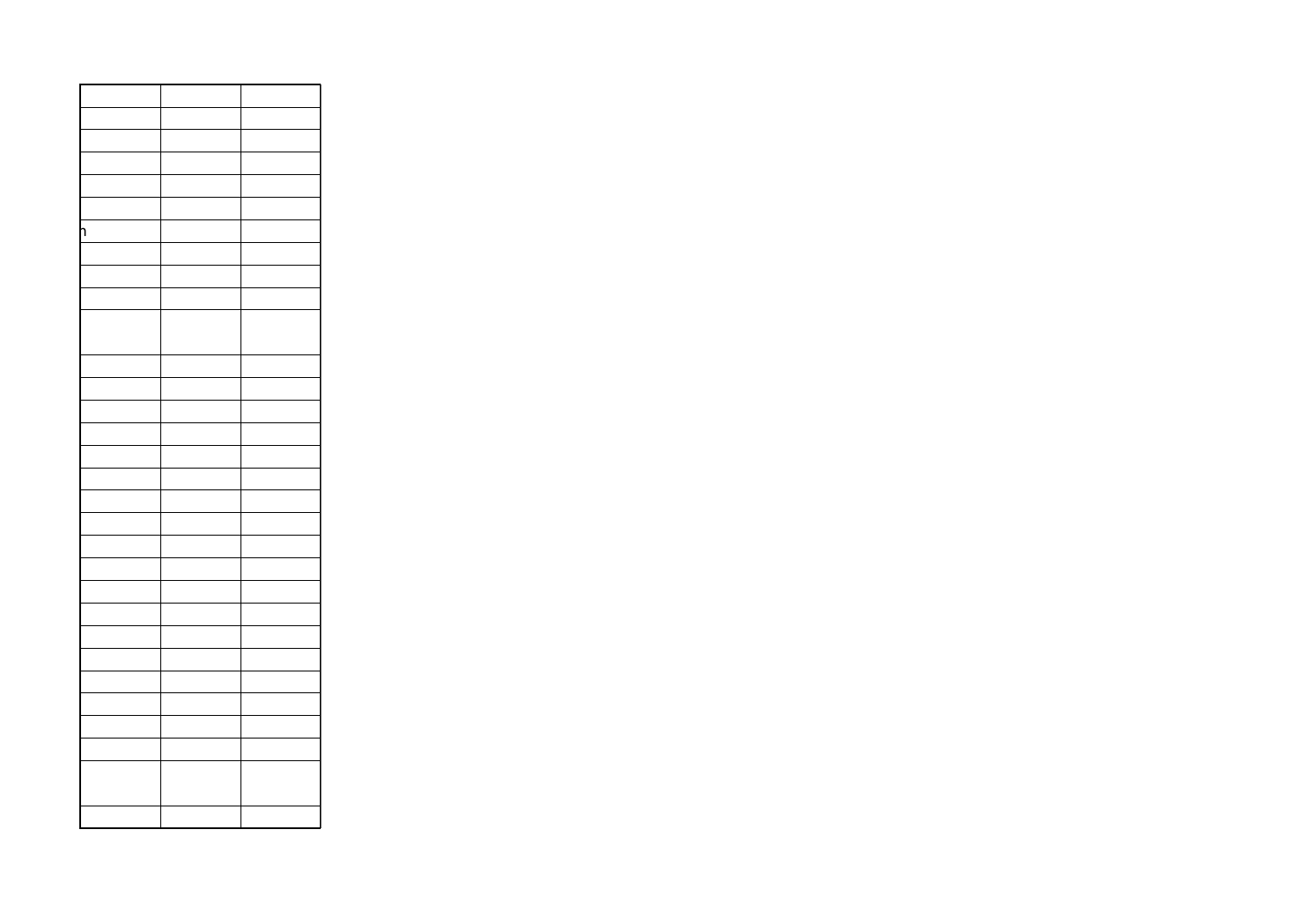| ٦ |  |
|---|--|
|   |  |
|   |  |
|   |  |
|   |  |
|   |  |
|   |  |
|   |  |
|   |  |
|   |  |
|   |  |
|   |  |
|   |  |
|   |  |
|   |  |
|   |  |
|   |  |
|   |  |
|   |  |
|   |  |
|   |  |
|   |  |
|   |  |
|   |  |
|   |  |
|   |  |
|   |  |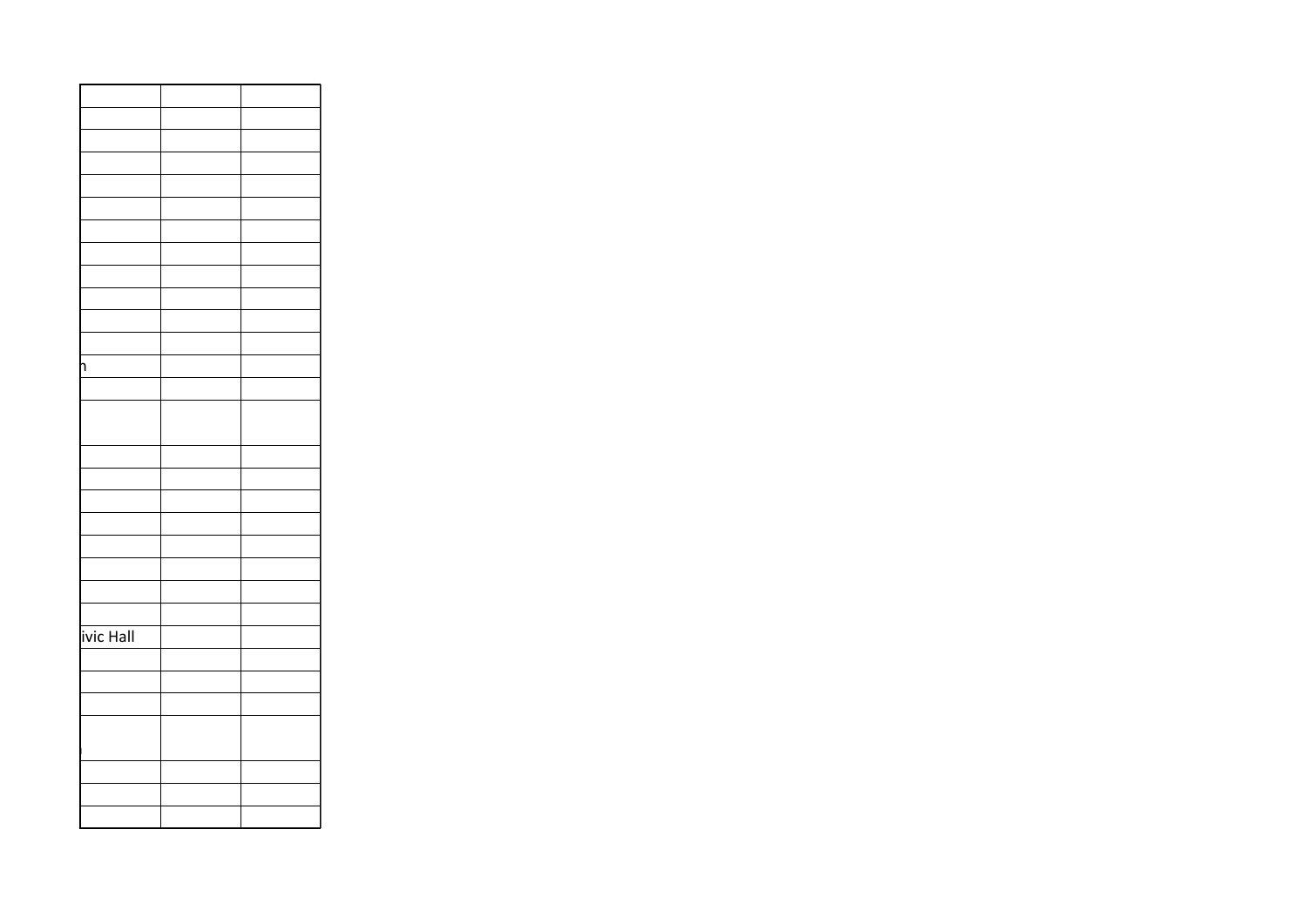| ٦         |  |
|-----------|--|
|           |  |
|           |  |
|           |  |
|           |  |
|           |  |
|           |  |
|           |  |
|           |  |
|           |  |
|           |  |
|           |  |
| ivic Hall |  |
|           |  |
|           |  |
|           |  |
|           |  |
|           |  |
|           |  |
|           |  |
|           |  |
|           |  |